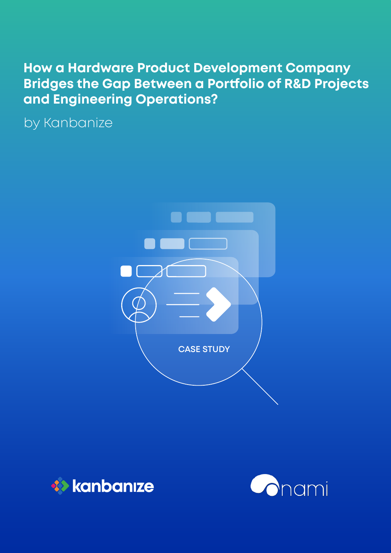# **How a Hardware Product Development Company Bridges the Gap Between a Portfolio of R&D Projects and Engineering Operations?**

by Kanbanize





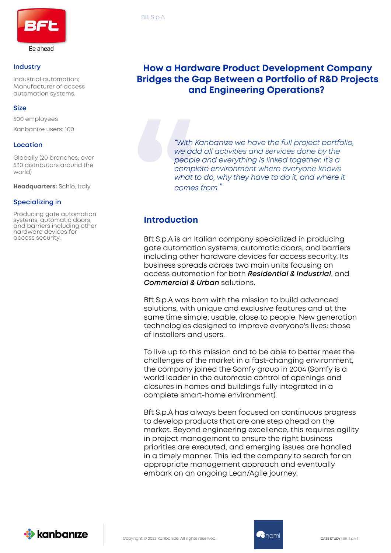

#### **Industry**

Industrial automation; Manufacturer of access automation systems.

#### **Size**

500 employees Kanbanize users: 100

#### **Location**

Globally (20 branches; over 530 distributors around the world)

**Headquarters:** Schio, Italy

#### **Specializing in**

Producing gate automation systems, automatic doors, and barriers including other hardware devices for access security.

## **How a Hardware Product Development Company Bridges the Gap Between a Portfolio of R&D Projects and Engineering Operations?**

*"With Kanbanize we have the full project portfolio, we add all activities and services done by the people and everything is linked together. It's a complete environment where everyone knows what to do, why they have to do it, and where it comes from."*

## **Introduction**

Bft S.p.A is an Italian company specialized in producing gate automation systems, automatic doors, and barriers including other hardware devices for access security. Its business spreads across two main units focusing on access automation for both *Residential & Industrial*, and *Commercial & Urban* solutions.

Bft S.p.A was born with the mission to build advanced solutions, with unique and exclusive features and at the same time simple, usable, close to people. New generation technologies designed to improve everyone's lives: those of installers and users.

To live up to this mission and to be able to better meet the challenges of the market in a fast-changing environment, the company joined the Somfy group in 2004 (Somfy is a world leader in the automatic control of openings and closures in homes and buildings fully integrated in a complete smart-home environment).

Bft S.p.A has always been focused on continuous progress to develop products that are one step ahead on the market. Beyond engineering excellence, this requires agility in project management to ensure the right business priorities are executed, and emerging issues are handled in a timely manner. This led the company to search for an appropriate management approach and eventually embark on an ongoing Lean/Agile journey.



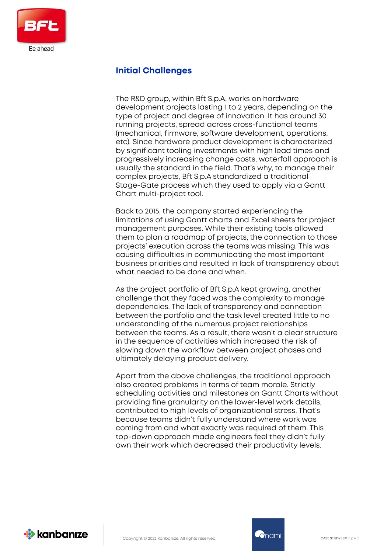

## **Initial Challenges**

The R&D group, within Bft S.p.A, works on hardware development projects lasting 1 to 2 years, depending on the type of project and degree of innovation. It has around 30 running projects, spread across cross-functional teams (mechanical, firmware, software development, operations, etc). Since hardware product development is characterized by significant tooling investments with high lead times and progressively increasing change costs, waterfall approach is usually the standard in the field. That's why, to manage their complex projects, Bft S.p.A standardized a traditional Stage-Gate process which they used to apply via a Gantt Chart multi-project tool.

Back to 2015, the company started experiencing the limitations of using Gantt charts and Excel sheets for project management purposes. While their existing tools allowed them to plan a roadmap of projects, the connection to those projects' execution across the teams was missing. This was causing difficulties in communicating the most important business priorities and resulted in lack of transparency about what needed to be done and when.

As the project portfolio of Bft S.p.A kept growing, another challenge that they faced was the complexity to manage dependencies. The lack of transparency and connection between the portfolio and the task level created little to no understanding of the numerous project relationships between the teams. As a result, there wasn't a clear structure in the sequence of activities which increased the risk of slowing down the workflow between project phases and ultimately delaying product delivery.

Apart from the above challenges, the traditional approach also created problems in terms of team morale. Strictly scheduling activities and milestones on Gantt Charts without providing fine granularity on the lower-level work details, contributed to high levels of organizational stress. That's because teams didn't fully understand where work was coming from and what exactly was required of them. This top-down approach made engineers feel they didn't fully own their work which decreased their productivity levels.



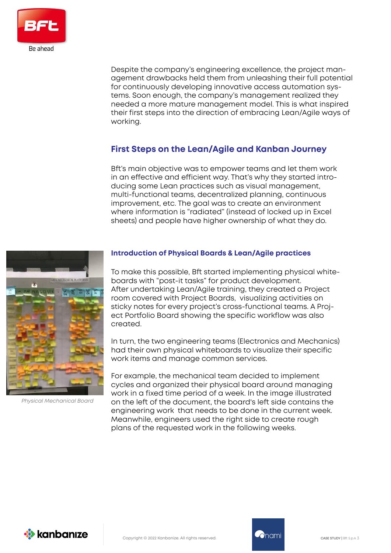

Despite the company's engineering excellence, the project management drawbacks held them from unleashing their full potential for continuously developing innovative access automation systems. Soon enough, the company's management realized they needed a more mature management model. This is what inspired their first steps into the direction of embracing Lean/Agile ways of working.

## **First Steps on the Lean/Agile and Kanban Journey**

Bft's main objective was to empower teams and let them work in an effective and efficient way. That's why they started introducing some Lean practices such as visual management, multi-functional teams, decentralized planning, continuous improvement, etc. The goal was to create an environment where information is "radiated" (instead of locked up in Excel sheets) and people have higher ownership of what they do.



*Physical Mechanical Board*

### **Introduction of Physical Boards & Lean/Agile practices**

To make this possible, Bft started implementing physical whiteboards with "post-it tasks" for product development. After undertaking Lean/Agile training, they created a Project room covered with Project Boards, visualizing activities on sticky notes for every project's cross-functional teams. A Project Portfolio Board showing the specific workflow was also created.

In turn, the two engineering teams (Electronics and Mechanics) had their own physical whiteboards to visualize their specific work items and manage common services.

For example, the mechanical team decided to implement cycles and organized their physical board around managing work in a fixed time period of a week. In the image illustrated on the left of the document, the board's left side contains the engineering work that needs to be done in the current week. Meanwhile, engineers used the right side to create rough plans of the requested work in the following weeks.

**External School** 



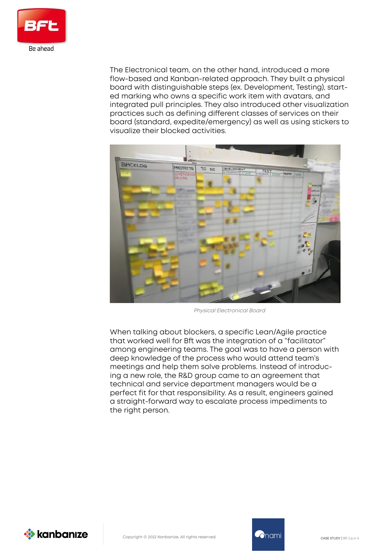

The Electronical team, on the other hand, introduced a more flow-based and Kanban-related approach. They built a physical board with distinguishable steps (ex. Development, Testing), started marking who owns a specific work item with avatars, and integrated pull principles. They also introduced other visualization practices such as defining different classes of services on their board (standard, expedite/emergency) as well as using stickers to visualize their blocked activities.



*Physical Electronical Board* 

When talking about blockers, a specific Lean/Agile practice that worked well for Bft was the integration of a "facilitator" among engineering teams. The goal was to have a person with deep knowledge of the process who would attend team's meetings and help them solve problems. Instead of introducing a new role, the R&D group came to an agreement that technical and service department managers would be a perfect fit for that responsibility. As a result, engineers gained a straight-forward way to escalate process impediments to the right person.

**XX** kanbanıze



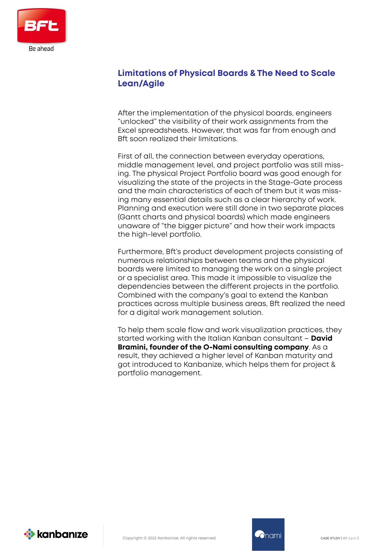

## **Limitations of Physical Boards & The Need to Scale Lean/Agile**

After the implementation of the physical boards, engineers "unlocked" the visibility of their work assignments from the Excel spreadsheets. However, that was far from enough and Bft soon realized their limitations.

First of all, the connection between everyday operations, middle management level, and project portfolio was still missing. The physical Project Portfolio board was good enough for visualizing the state of the projects in the Stage-Gate process and the main characteristics of each of them but it was missing many essential details such as a clear hierarchy of work. Planning and execution were still done in two separate places (Gantt charts and physical boards) which made engineers unaware of "the bigger picture" and how their work impacts the high-level portfolio.

Furthermore, Bft's product development projects consisting of numerous relationships between teams and the physical boards were limited to managing the work on a single project or a specialist area. This made it impossible to visualize the dependencies between the different projects in the portfolio. Combined with the company's goal to extend the Kanban practices across multiple business areas, Bft realized the need for a digital work management solution.

To help them scale flow and work visualization practices, they started working with the Italian Kanban consultant – **David Bramini, founder of the O-Nami consulting company**. As a result, they achieved a higher level of Kanban maturity and got introduced to Kanbanize, which helps them for project & portfolio management.

*X* kanbanıze

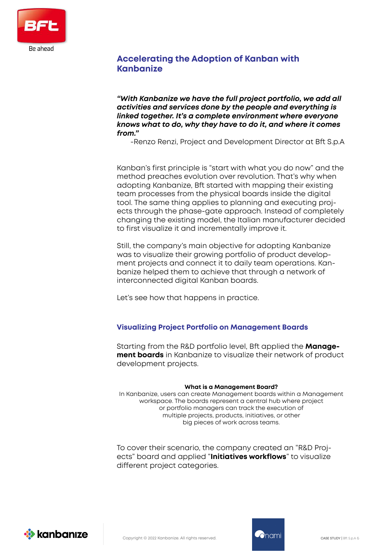

## **Accelerating the Adoption of Kanban with Kanbanize**

*"With Kanbanize we have the full project portfolio, we add all activities and services done by the people and everything is linked together. It's a complete environment where everyone knows what to do, why they have to do it, and where it comes from."* 

-Renzo Renzi, Project and Development Director at Bft S.p.A

Kanban's first principle is "start with what you do now" and the method preaches evolution over revolution. That's why when adopting Kanbanize, Bft started with mapping their existing team processes from the physical boards inside the digital tool. The same thing applies to planning and executing projects through the phase-gate approach. Instead of completely changing the existing model, the Italian manufacturer decided to first visualize it and incrementally improve it.

Still, the company's main objective for adopting Kanbanize was to visualize their growing portfolio of product development projects and connect it to daily team operations. Kanbanize helped them to achieve that through a network of interconnected digital Kanban boards.

Let's see how that happens in practice.

#### **Visualizing Project Portfolio on Management Boards**

Starting from the R&D portfolio level, Bft applied the **Management boards** in Kanbanize to visualize their network of product development projects.

#### **What is a Management Board?**

In Kanbanize, users can create Management boards within a Management workspace. The boards represent a central hub where project or portfolio managers can track the execution of multiple projects, products, initiatives, or other big pieces of work across teams.

To cover their scenario, the company created an "R&D Projects" board and applied "**Initiatives workflows**" to visualize different project categories.





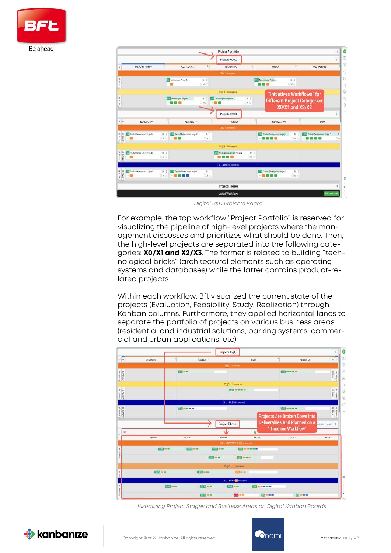



*Digital R&D Projects Board*

For example, the top workflow "Project Portfolio" is reserved for visualizing the pipeline of high-level projects where the management discusses and prioritizes what should be done. Then, the high-level projects are separated into the following categories: **X0/X1 and X2/X3**. The former is related to building "technological bricks" (architectural elements such as operating systems and databases) while the latter contains product-related projects.

Within each workflow, Bft visualized the current state of the projects (Evaluation, Feasibility, Study, Realization) through Kanban columns. Furthermore, they applied horizontal lanes to separate the portfolio of projects on various business areas (residential and industrial solutions, parking systems, commercial and urban applications, etc).



*Visualizing Project Stages and Business Areas on Digital Kanban Boards* 



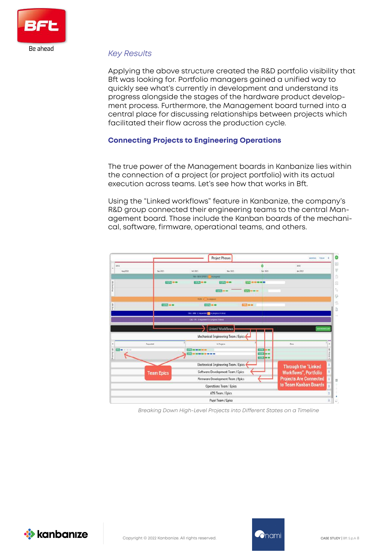

#### *Key Results*

Applying the above structure created the R&D portfolio visibility that Bft was looking for. Portfolio managers gained a unified way to quickly see what's currently in development and understand its progress alongside the stages of the hardware product development process. Furthermore, the Management board turned into a central place for discussing relationships between projects which facilitated their flow across the production cycle.

#### **Connecting Projects to Engineering Operations**

The true power of the Management boards in Kanbanize lies within the connection of a project (or project portfolio) with its actual execution across teams. Let's see how that works in Bft.

Using the "Linked workflows" feature in Kanbanize, the company's R&D group connected their engineering teams to the central Management board. Those include the Kanban boards of the mechanical, software, firmware, operational teams, and others.



*Breaking Down High-Level Projects into Different States on a Timeline*



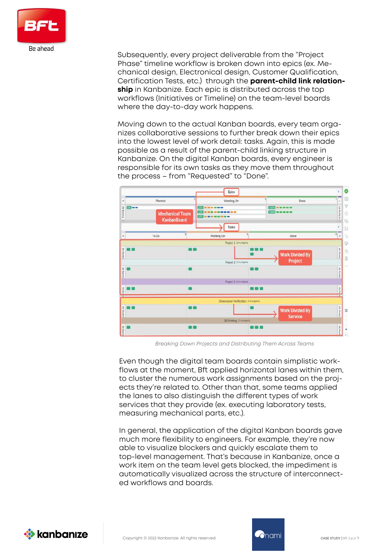

Subsequently, every project deliverable from the "Project Phase" timeline workflow is broken down into epics (ex. Mechanical design, Electronical design, Customer Qualification, Certification Tests, etc.) through the **parent-child link relationship** in Kanbanize. Each epic is distributed across the top workflows (Initiatives or Timeline) on the team-level boards where the day-to-day work happens.

Moving down to the actual Kanban boards, every team organizes collaborative sessions to further break down their epics into the lowest level of work detail: tasks. Again, this is made possible as a result of the parent-child linking structure in Kanbanize. On the digital Kanban boards, every engineer is responsible for its own tasks as they move them throughout the process – from "Requested" to "Done".



 *Breaking Down Projects and Distributing Them Across Teams*

Even though the digital team boards contain simplistic workflows at the moment, Bft applied horizontal lanes within them, to cluster the numerous work assignments based on the projects they're related to. Other than that, some teams applied the lanes to also distinguish the different types of work services that they provide (ex. executing laboratory tests, measuring mechanical parts, etc.).

In general, the application of the digital Kanban boards gave much more flexibility to engineers. For example, they're now able to visualize blockers and quickly escalate them to top-level management. That's because in Kanbanize, once a work item on the team level gets blocked, the impediment is automatically visualized across the structure of interconnected workflows and boards.





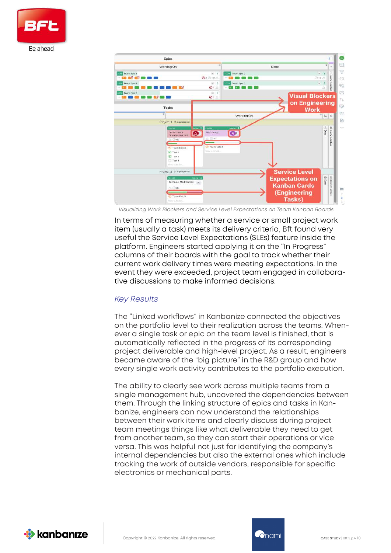



*Visualizing Work Blockers and Service Level Expectations on Team Kanban Boards* 

In terms of measuring whether a service or small project work item (usually a task) meets its delivery criteria, Bft found very useful the Service Level Expectations (SLEs) feature inside the platform. Engineers started applying it on the "In Progress" columns of their boards with the goal to track whether their current work delivery times were meeting expectations. In the event they were exceeded, project team engaged in collaborative discussions to make informed decisions.

#### *Key Results*

The "Linked workflows" in Kanbanize connected the objectives on the portfolio level to their realization across the teams. Whenever a single task or epic on the team level is finished, that is automatically reflected in the progress of its corresponding project deliverable and high-level project. As a result, engineers became aware of the "big picture" in the R&D group and how every single work activity contributes to the portfolio execution.

The ability to clearly see work across multiple teams from a single management hub, uncovered the dependencies between them. Through the linking structure of epics and tasks in Kanbanize, engineers can now understand the relationships between their work items and clearly discuss during project team meetings things like what deliverable they need to aet from another team, so they can start their operations or vice versa. This was helpful not just for identifying the company's internal dependencies but also the external ones which include tracking the work of outside vendors, responsible for specific electronics or mechanical parts.



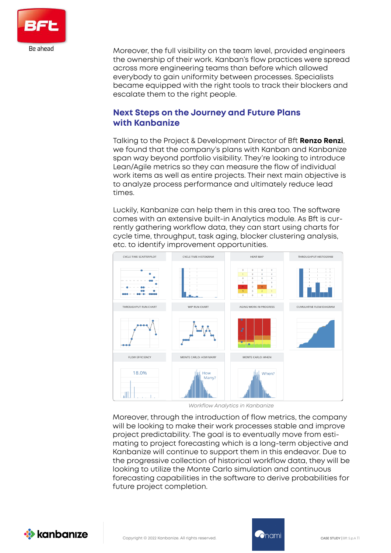

Moreover, the full visibility on the team level, provided engineers the ownership of their work. Kanban's flow practices were spread across more engineering teams than before which allowed everybody to gain uniformity between processes. Specialists became equipped with the right tools to track their blockers and escalate them to the right people.

## **Next Steps on the Journey and Future Plans with Kanbanize**

Talking to the Project & Development Director of Bft **Renzo Renzi**, we found that the company's plans with Kanban and Kanbanize span way beyond portfolio visibility. They're looking to introduce Lean/Agile metrics so they can measure the flow of individual work items as well as entire projects. Their next main objective is to analyze process performance and ultimately reduce lead times.

Luckily, Kanbanize can help them in this area too. The software comes with an extensive built-in Analytics module. As Bft is currently gathering workflow data, they can start using charts for cycle time, throughput, task aging, blocker clustering analysis, etc. to identify improvement opportunities.



*Workflow Analytics in Kanbanize* 

Moreover, through the introduction of flow metrics, the company will be looking to make their work processes stable and improve project predictability. The goal is to eventually move from estimating to project forecasting which is a long-term objective and Kanbanize will continue to support them in this endeavor. Due to the progressive collection of historical workflow data, they will be looking to utilize the Monte Carlo simulation and continuous forecasting capabilities in the software to derive probabilities for future project completion.



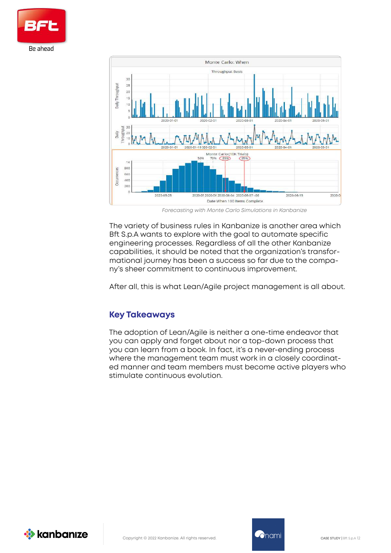



*Forecasting with Monte Carlo Simulations in Kanbanize* 

The variety of business rules in Kanbanize is another area which Bft S.p.A wants to explore with the goal to automate specific engineering processes. Regardless of all the other Kanbanize capabilities, it should be noted that the organization's transformational journey has been a success so far due to the company's sheer commitment to continuous improvement.

After all, this is what Lean/Agile project management is all about.

### **Key Takeaways**

The adoption of Lean/Agile is neither a one-time endeavor that you can apply and forget about nor a top-down process that you can learn from a book. In fact, it's a never-ending process where the management team must work in a closely coordinated manner and team members must become active players who stimulate continuous evolution.

*X* kanbanıze

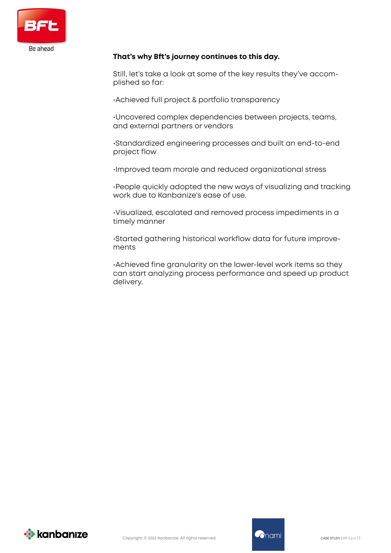

#### **That's why Bft's journey continues to this day.**

Still, let's take a look at some of the key results they've accomplished so far:

•Achieved full project & portfolio transparency

•Uncovered complex dependencies between projects, teams, and external partners or vendors

•Standardized engineering processes and built an end-to-end project flow

•Improved team morale and reduced organizational stress

•People quickly adopted the new ways of visualizing and tracking work due to Kanbanize's ease of use.

•Visualized, escalated and removed process impediments in a timely manner

•Started gathering historical workflow data for future improvements

•Achieved fine granularity on the lower-level work items so they can start analyzing process performance and speed up product delivery.